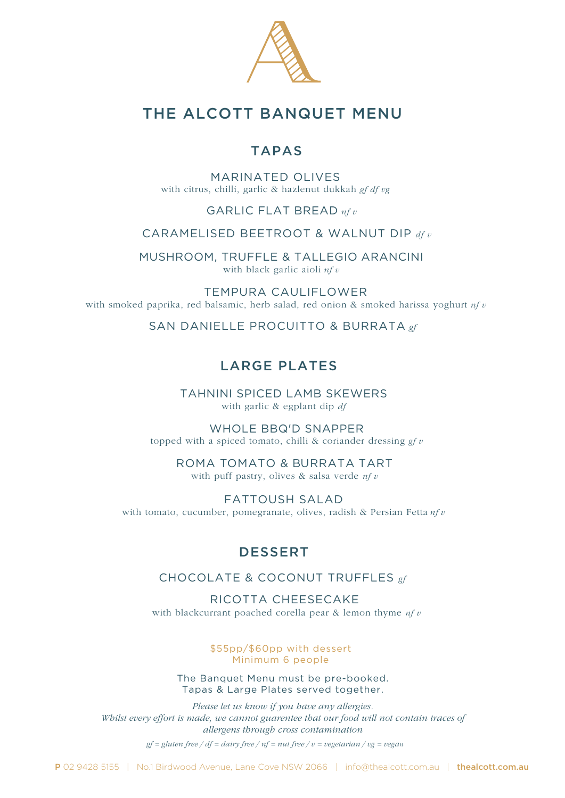

# THE ALCOTT BANQUET MENU

### TAPAS

MARINATED OLIVES with citrus, chilli, garlic & hazlenut dukkah *gf df vg*

### GARLIC FLAT BREAD *nf v*

#### CARAMELISED BEETROOT & WALNUT DIP *df v*

MUSHROOM, TRUFFLE & TALLEGIO ARANCINI with black garlic aioli *nf v*

TEMPURA CAULIFLOWER with smoked paprika, red balsamic, herb salad, red onion & smoked harissa yoghurt *nf v*

SAN DANIELLE PROCUITTO & BURRATA *gf* 

### LARGE PLATES

TAHNINI SPICED LAMB SKEWERS with garlic & egplant dip *df*

WHOLE BBQ'D SNAPPER topped with a spiced tomato, chilli & coriander dressing *gf v*

ROMA TOMATO & BURRATA TART with puff pastry, olives & salsa verde *nf v*

FATTOUSH SALAD with tomato, cucumber, pomegranate, olives, radish & Persian Fetta *nf v*

## DESSERT

### CHOCOLATE & COCONUT TRUFFLES *gf*

RICOTTA CHEESECAKE with blackcurrant poached corella pear & lemon thyme *nf v*

> \$55pp/\$60pp with dessert Minimum 6 people

The Banquet Menu must be pre-booked. Tapas & Large Plates served together.

*Please let us know if you have any allergies. Whilst every effort is made, we cannot guarentee that our food will not contain traces of allergens through cross contamination*

*gf = gluten free / df = dairy free / nf = nut free / v = vegetarian / vg = vegan*